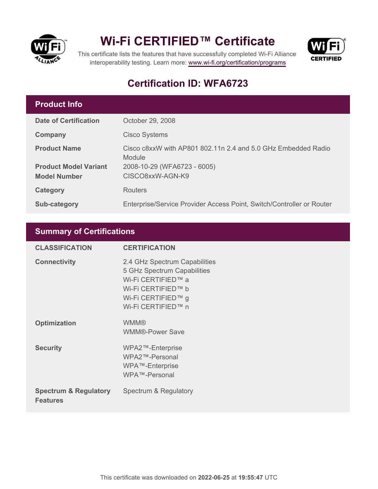

## **Wi-Fi CERTIFIED™ Certificate**



This certificate lists the features that have successfully completed Wi-Fi Alliance interoperability testing. Learn more:<www.wi-fi.org/certification/programs>

### **Certification ID: WFA6723**

#### **Product Info**

| <b>Date of Certification</b> | October 29, 2008                                                        |
|------------------------------|-------------------------------------------------------------------------|
| Company                      | <b>Cisco Systems</b>                                                    |
| <b>Product Name</b>          | Cisco c8xxW with AP801 802.11n 2.4 and 5.0 GHz Embedded Radio<br>Module |
| <b>Product Model Variant</b> | 2008-10-29 (WFA6723 - 6005)                                             |
| <b>Model Number</b>          | CISCO8xxW-AGN-K9                                                        |
| Category                     | Routers                                                                 |
| Sub-category                 | Enterprise/Service Provider Access Point, Switch/Controller or Router   |

#### **Summary of Certifications**

| <b>CLASSIFICATION</b>                               | <b>CERTIFICATION</b>                                                                                                                                 |
|-----------------------------------------------------|------------------------------------------------------------------------------------------------------------------------------------------------------|
| <b>Connectivity</b>                                 | 2.4 GHz Spectrum Capabilities<br>5 GHz Spectrum Capabilities<br>Wi-Fi CERTIFIED™ a<br>Wi-Fi CERTIFIED™ b<br>Wi-Fi CERTIFIED™ g<br>Wi-Fi CERTIFIED™ n |
| <b>Optimization</b>                                 | <b>WMM®</b><br><b>WMM®-Power Save</b>                                                                                                                |
| <b>Security</b>                                     | WPA2™-Enterprise<br>WPA2™-Personal<br>WPA™-Enterprise<br>WPA™-Personal                                                                               |
| <b>Spectrum &amp; Regulatory</b><br><b>Features</b> | Spectrum & Regulatory                                                                                                                                |